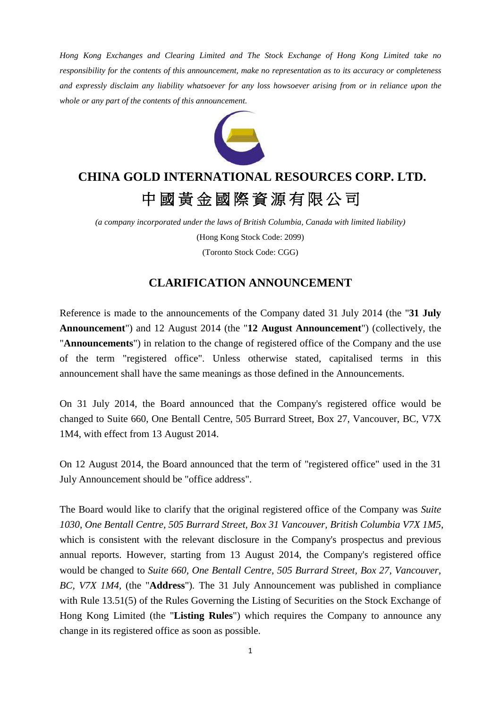*Hong Kong Exchanges and Clearing Limited and The Stock Exchange of Hong Kong Limited take no responsibility for the contents of this announcement, make no representation as to its accuracy or completeness and expressly disclaim any liability whatsoever for any loss howsoever arising from or in reliance upon the whole or any part of the contents of this announcement.*



## **CHINA GOLD INTERNATIONAL RESOURCES CORP. LTD.** 中國黃金國際資源有限公司

*(a company incorporated under the laws of British Columbia, Canada with limited liability)* (Hong Kong Stock Code: 2099) (Toronto Stock Code: CGG)

## **CLARIFICATION ANNOUNCEMENT**

Reference is made to the announcements of the Company dated 31 July 2014 (the "**31 July Announcement**") and 12 August 2014 (the "**12 August Announcement**") (collectively, the "**Announcements**") in relation to the change of registered office of the Company and the use of the term "registered office". Unless otherwise stated, capitalised terms in this announcement shall have the same meanings as those defined in the Announcements.

On 31 July 2014, the Board announced that the Company's registered office would be changed to Suite 660, One Bentall Centre, 505 Burrard Street, Box 27, Vancouver, BC, V7X 1M4, with effect from 13 August 2014.

On 12 August 2014, the Board announced that the term of "registered office" used in the 31 July Announcement should be "office address".

The Board would like to clarify that the original registered office of the Company was *Suite 1030, One Bentall Centre, 505 Burrard Street, Box 31 Vancouver, British Columbia V7X 1M5*, which is consistent with the relevant disclosure in the Company's prospectus and previous annual reports. However, starting from 13 August 2014, the Company's registered office would be changed to *Suite 660, One Bentall Centre, 505 Burrard Street, Box 27, Vancouver, BC, V7X 1M4,* (the "**Address**")*.* The 31 July Announcement was published in compliance with Rule 13.51(5) of the Rules Governing the Listing of Securities on the Stock Exchange of Hong Kong Limited (the "**Listing Rules**") which requires the Company to announce any change in its registered office as soon as possible.